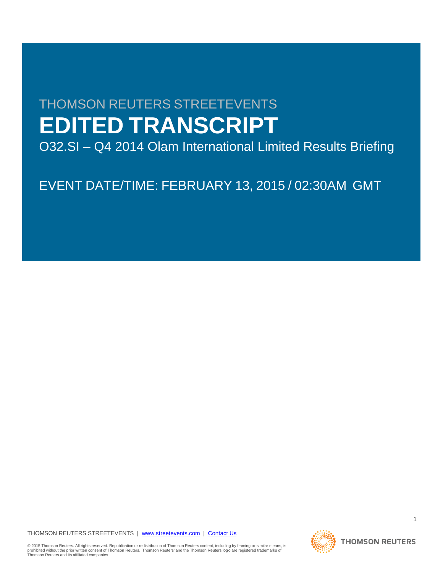# THOMSON REUTERS STREETEVENTS **EDITED TRANSCRIPT**

O32.SI – Q4 2014 Olam International Limited Results Briefing

EVENT DATE/TIME: FEBRUARY 13, 2015 / 02:30AM GMT

THOMSON REUTERS STREETEVENTS | [www.streetevents.com](http://www.streetevents.com/) | [Contact Us](http://www010.streetevents.com/contact.asp)

© 2015 Thomson Reuters. All rights reserved. Republication or redistribution of Thomson Reuters content, including by framing or similar means, is<br>prohibited without the prior written consent of Thomson Reuters. 'Thomson

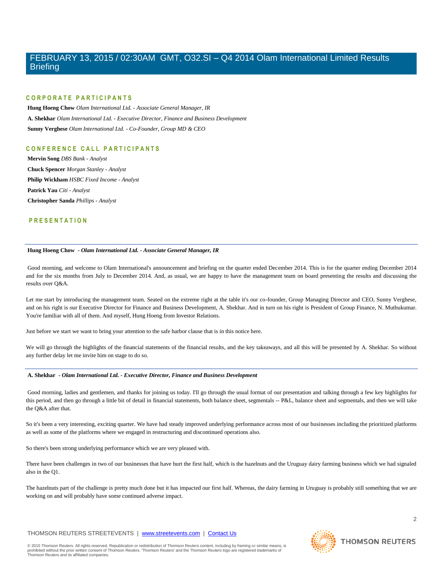#### **C O R P O R A T E P A R T I C I P A N T S**

**Hung Hoeng Chow** *Olam International Ltd. - Associate General Manager, IR* **A. Shekhar** *Olam International Ltd. - Executive Director, Finance and Business Development* **Sunny Verghese** *Olam International Ltd. - Co-Founder, Group MD & CEO*

#### **C O N F E R E N C E C A L L P A R T I C I P A N T S**

**Mervin Song** *DBS Bank - Analyst* **Chuck Spencer** *Morgan Stanley - Analyst* **Philip Wickham** *HSBC Fixed Income - Analyst* **Patrick Yau** *Citi - Analyst* **Christopher Sanda** *Phillips - Analyst*

#### **P R E S E N T A T I O N**

#### **Hung Hoeng Chow** *- Olam International Ltd. - Associate General Manager, IR*

Good morning, and welcome to Olam International's announcement and briefing on the quarter ended December 2014. This is for the quarter ending December 2014 and for the six months from July to December 2014. And, as usual, we are happy to have the management team on board presenting the results and discussing the results over Q&A.

Let me start by introducing the management team. Seated on the extreme right at the table it's our co-founder, Group Managing Director and CEO, Sunny Verghese, and on his right is our Executive Director for Finance and Business Development, A. Shekhar. And in turn on his right is President of Group Finance, N. Muthukumar. You're familiar with all of them. And myself, Hung Hoeng from Investor Relations.

Just before we start we want to bring your attention to the safe harbor clause that is in this notice here.

We will go through the highlights of the financial statements of the financial results, and the key takeaways, and all this will be presented by A. Shekhar. So without any further delay let me invite him on stage to do so.

#### **A. Shekhar** *- Olam International Ltd. - Executive Director, Finance and Business Development*

Good morning, ladies and gentlemen, and thanks for joining us today. I'll go through the usual format of our presentation and talking through a few key highlights for this period, and then go through a little bit of detail in financial statements, both balance sheet, segmentals -- P&L, balance sheet and segmentals, and then we will take the Q&A after that.

So it's been a very interesting, exciting quarter. We have had steady improved underlying performance across most of our businesses including the prioritized platforms as well as some of the platforms where we engaged in restructuring and discontinued operations also.

So there's been strong underlying performance which we are very pleased with.

There have been challenges in two of our businesses that have hurt the first half, which is the hazelnuts and the Uruguay dairy farming business which we had signaled also in the Q1.

The hazelnuts part of the challenge is pretty much done but it has impacted our first half. Whereas, the dairy farming in Uruguay is probably still something that we are working on and will probably have some continued adverse impact.

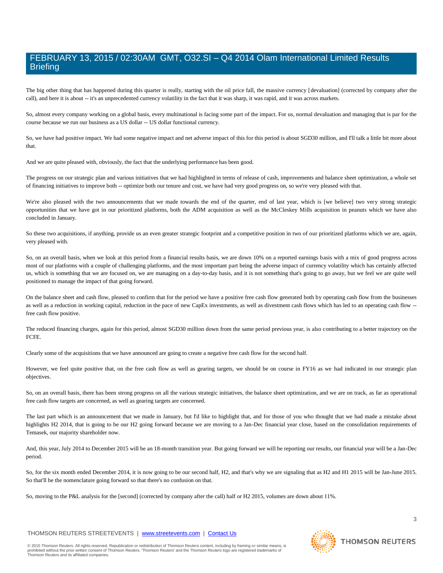The big other thing that has happened during this quarter is really, starting with the oil price fall, the massive currency [devaluation] (corrected by company after the call), and here it is about -- it's an unprecedented currency volatility in the fact that it was sharp, it was rapid, and it was across markets.

So, almost every company working on a global basis, every multinational is facing some part of the impact. For us, normal devaluation and managing that is par for the course because we run our business as a US dollar -- US dollar functional currency.

So, we have had positive impact. We had some negative impact and net adverse impact of this for this period is about SGD30 million, and I'll talk a little bit more about that.

And we are quite pleased with, obviously, the fact that the underlying performance has been good.

The progress on our strategic plan and various initiatives that we had highlighted in terms of release of cash, improvements and balance sheet optimization, a whole set of financing initiatives to improve both -- optimize both our tenure and cost, we have had very good progress on, so we're very pleased with that.

We're also pleased with the two announcements that we made towards the end of the quarter, end of last year, which is [we believe] two very strong strategic opportunities that we have got in our prioritized platforms, both the ADM acquisition as well as the McCleskey Mills acquisition in peanuts which we have also concluded in January.

So these two acquisitions, if anything, provide us an even greater strategic footprint and a competitive position in two of our prioritized platforms which we are, again, very pleased with.

So, on an overall basis, when we look at this period from a financial results basis, we are down 10% on a reported earnings basis with a mix of good progress across most of our platforms with a couple of challenging platforms, and the most important part being the adverse impact of currency volatility which has certainly affected us, which is something that we are focused on, we are managing on a day-to-day basis, and it is not something that's going to go away, but we feel we are quite well positioned to manage the impact of that going forward.

On the balance sheet and cash flow, pleased to confirm that for the period we have a positive free cash flow generated both by operating cash flow from the businesses as well as a reduction in working capital, reduction in the pace of new CapEx investments, as well as divestment cash flows which has led to an operating cash flow -free cash flow positive.

The reduced financing charges, again for this period, almost SGD30 million down from the same period previous year, is also contributing to a better trajectory on the FCFE.

Clearly some of the acquisitions that we have announced are going to create a negative free cash flow for the second half.

However, we feel quite positive that, on the free cash flow as well as gearing targets, we should be on course in FY16 as we had indicated in our strategic plan objectives.

So, on an overall basis, there has been strong progress on all the various strategic initiatives, the balance sheet optimization, and we are on track, as far as operational free cash flow targets are concerned, as well as gearing targets are concerned.

The last part which is an announcement that we made in January, but I'd like to highlight that, and for those of you who thought that we had made a mistake about highlights H2 2014, that is going to be our H2 going forward because we are moving to a Jan-Dec financial year close, based on the consolidation requirements of Temasek, our majority shareholder now.

And, this year, July 2014 to December 2015 will be an 18-month transition year. But going forward we will be reporting our results, our financial year will be a Jan-Dec period.

So, for the six month ended December 2014, it is now going to be our second half, H2, and that's why we are signaling that as H2 and H1 2015 will be Jan-June 2015. So that'll be the nomenclature going forward so that there's no confusion on that.

So, moving to the P&L analysis for the [second] (corrected by company after the call) half or H2 2015, volumes are down about 11%.

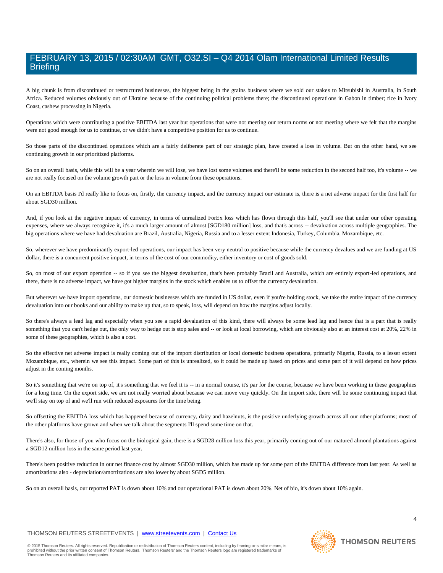A big chunk is from discontinued or restructured businesses, the biggest being in the grains business where we sold our stakes to Mitsubishi in Australia, in South Africa. Reduced volumes obviously out of Ukraine because of the continuing political problems there; the discontinued operations in Gabon in timber; rice in Ivory Coast, cashew processing in Nigeria.

Operations which were contributing a positive EBITDA last year but operations that were not meeting our return norms or not meeting where we felt that the margins were not good enough for us to continue, or we didn't have a competitive position for us to continue.

So those parts of the discontinued operations which are a fairly deliberate part of our strategic plan, have created a loss in volume. But on the other hand, we see continuing growth in our prioritized platforms.

So on an overall basis, while this will be a year wherein we will lose, we have lost some volumes and there'll be some reduction in the second half too, it's volume -- we are not really focused on the volume growth part or the loss in volume from these operations.

On an EBITDA basis I'd really like to focus on, firstly, the currency impact, and the currency impact our estimate is, there is a net adverse impact for the first half for about SGD30 million.

And, if you look at the negative impact of currency, in terms of unrealized ForEx loss which has flown through this half, you'll see that under our other operating expenses, where we always recognize it, it's a much larger amount of almost [SGD180 million] loss, and that's across -- devaluation across multiple geographies. The big operations where we have had devaluation are Brazil, Australia, Nigeria, Russia and to a lesser extent Indonesia, Turkey, Columbia, Mozambique, etc.

So, wherever we have predominantly export-led operations, our impact has been very neutral to positive because while the currency devalues and we are funding at US dollar, there is a concurrent positive impact, in terms of the cost of our commodity, either inventory or cost of goods sold.

So, on most of our export operation -- so if you see the biggest devaluation, that's been probably Brazil and Australia, which are entirely export-led operations, and there, there is no adverse impact, we have got higher margins in the stock which enables us to offset the currency devaluation.

But wherever we have import operations, our domestic businesses which are funded in US dollar, even if you're holding stock, we take the entire impact of the currency devaluation into our books and our ability to make up that, so to speak, loss, will depend on how the margins adjust locally.

So there's always a lead lag and especially when you see a rapid devaluation of this kind, there will always be some lead lag and hence that is a part that is really something that you can't hedge out, the only way to hedge out is stop sales and -- or look at local borrowing, which are obviously also at an interest cost at 20%, 22% in some of these geographies, which is also a cost.

So the effective net adverse impact is really coming out of the import distribution or local domestic business operations, primarily Nigeria, Russia, to a lesser extent Mozambique, etc., wherein we see this impact. Some part of this is unrealized, so it could be made up based on prices and some part of it will depend on how prices adjust in the coming months.

So it's something that we're on top of, it's something that we feel it is -- in a normal course, it's par for the course, because we have been working in these geographies for a long time. On the export side, we are not really worried about because we can move very quickly. On the import side, there will be some continuing impact that we'll stay on top of and we'll run with reduced exposures for the time being.

So offsetting the EBITDA loss which has happened because of currency, dairy and hazelnuts, is the positive underlying growth across all our other platforms; most of the other platforms have grown and when we talk about the segments I'll spend some time on that.

There's also, for those of you who focus on the biological gain, there is a SGD28 million loss this year, primarily coming out of our matured almond plantations against a SGD12 million loss in the same period last year.

There's been positive reduction in our net finance cost by almost SGD30 million, which has made up for some part of the EBITDA difference from last year. As well as amortizations also - depreciation/amortizations are also lower by about SGD5 million.

So on an overall basis, our reported PAT is down about 10% and our operational PAT is down about 20%. Net of bio, it's down about 10% again.

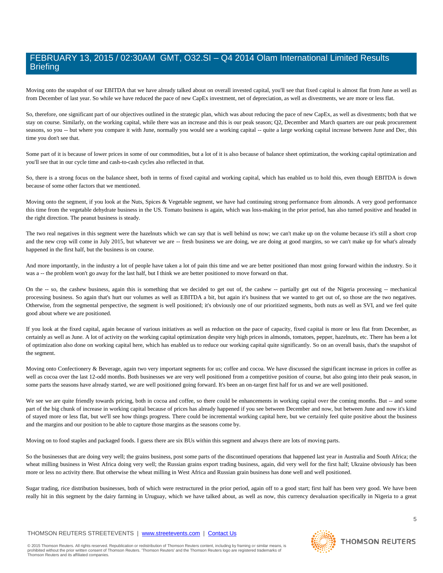Moving onto the snapshot of our EBITDA that we have already talked about on overall invested capital, you'll see that fixed capital is almost flat from June as well as from December of last year. So while we have reduced the pace of new CapEx investment, net of depreciation, as well as divestments, we are more or less flat.

So, therefore, one significant part of our objectives outlined in the strategic plan, which was about reducing the pace of new CapEx, as well as divestments; both that we stay on course. Similarly, on the working capital, while there was an increase and this is our peak season; Q2, December and March quarters are our peak procurement seasons, so you -- but where you compare it with June, normally you would see a working capital -- quite a large working capital increase between June and Dec, this time you don't see that.

Some part of it is because of lower prices in some of our commodities, but a lot of it is also because of balance sheet optimization, the working capital optimization and you'll see that in our cycle time and cash-to-cash cycles also reflected in that.

So, there is a strong focus on the balance sheet, both in terms of fixed capital and working capital, which has enabled us to hold this, even though EBITDA is down because of some other factors that we mentioned.

Moving onto the segment, if you look at the Nuts, Spices & Vegetable segment, we have had continuing strong performance from almonds. A very good performance this time from the vegetable dehydrate business in the US. Tomato business is again, which was loss-making in the prior period, has also turned positive and headed in the right direction. The peanut business is steady.

The two real negatives in this segment were the hazelnuts which we can say that is well behind us now; we can't make up on the volume because it's still a short crop and the new crop will come in July 2015, but whatever we are -- fresh business we are doing, we are doing at good margins, so we can't make up for what's already happened in the first half, but the business is on course.

And more importantly, in the industry a lot of people have taken a lot of pain this time and we are better positioned than most going forward within the industry. So it was a -- the problem won't go away for the last half, but I think we are better positioned to move forward on that.

On the -- so, the cashew business, again this is something that we decided to get out of, the cashew -- partially get out of the Nigeria processing -- mechanical processing business. So again that's hurt our volumes as well as EBITDA a bit, but again it's business that we wanted to get out of, so those are the two negatives. Otherwise, from the segmental perspective, the segment is well positioned; it's obviously one of our prioritized segments, both nuts as well as SVI, and we feel quite good about where we are positioned.

If you look at the fixed capital, again because of various initiatives as well as reduction on the pace of capacity, fixed capital is more or less flat from December, as certainly as well as June. A lot of activity on the working capital optimization despite very high prices in almonds, tomatoes, pepper, hazelnuts, etc. There has been a lot of optimization also done on working capital here, which has enabled us to reduce our working capital quite significantly. So on an overall basis, that's the snapshot of the segment.

Moving onto Confectionery & Beverage, again two very important segments for us; coffee and cocoa. We have discussed the significant increase in prices in coffee as well as cocoa over the last 12-odd months. Both businesses we are very well positioned from a competitive position of course, but also going into their peak season, in some parts the seasons have already started, we are well positioned going forward. It's been an on-target first half for us and we are well positioned.

We see we are quite friendly towards pricing, both in cocoa and coffee, so there could be enhancements in working capital over the coming months. But -- and some part of the big chunk of increase in working capital because of prices has already happened if you see between December and now, but between June and now it's kind of stayed more or less flat, but we'll see how things progress. There could be incremental working capital here, but we certainly feel quite positive about the business and the margins and our position to be able to capture those margins as the seasons come by.

Moving on to food staples and packaged foods. I guess there are six BUs within this segment and always there are lots of moving parts.

So the businesses that are doing very well; the grains business, post some parts of the discontinued operations that happened last year in Australia and South Africa; the wheat milling business in West Africa doing very well; the Russian grains export trading business, again, did very well for the first half; Ukraine obviously has been more or less no activity there. But otherwise the wheat milling in West Africa and Russian grain business has done well and well positioned.

Sugar trading, rice distribution businesses, both of which were restructured in the prior period, again off to a good start; first half has been very good. We have been really hit in this segment by the dairy farming in Uruguay, which we have talked about, as well as now, this currency devaluation specifically in Nigeria to a great

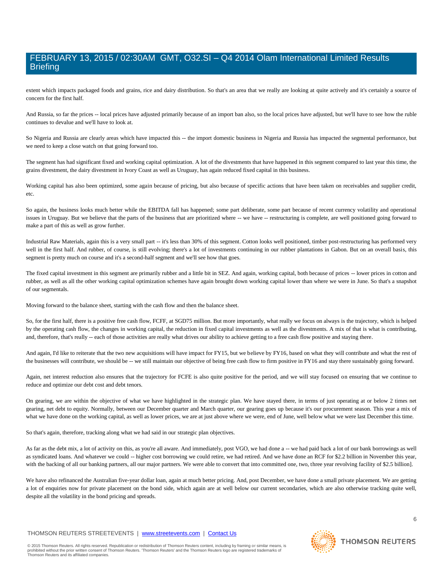extent which impacts packaged foods and grains, rice and dairy distribution. So that's an area that we really are looking at quite actively and it's certainly a source of concern for the first half.

And Russia, so far the prices -- local prices have adjusted primarily because of an import ban also, so the local prices have adjusted, but we'll have to see how the ruble continues to devalue and we'll have to look at.

So Nigeria and Russia are clearly areas which have impacted this -- the import domestic business in Nigeria and Russia has impacted the segmental performance, but we need to keep a close watch on that going forward too.

The segment has had significant fixed and working capital optimization. A lot of the divestments that have happened in this segment compared to last year this time, the grains divestment, the dairy divestment in Ivory Coast as well as Uruguay, has again reduced fixed capital in this business.

Working capital has also been optimized, some again because of pricing, but also because of specific actions that have been taken on receivables and supplier credit, etc.

So again, the business looks much better while the EBITDA fall has happened; some part deliberate, some part because of recent currency volatility and operational issues in Uruguay. But we believe that the parts of the business that are prioritized where -- we have -- restructuring is complete, are well positioned going forward to make a part of this as well as grow further.

Industrial Raw Materials, again this is a very small part -- it's less than 30% of this segment. Cotton looks well positioned, timber post-restructuring has performed very well in the first half. And rubber, of course, is still evolving; there's a lot of investments continuing in our rubber plantations in Gabon. But on an overall basis, this segment is pretty much on course and it's a second-half segment and we'll see how that goes.

The fixed capital investment in this segment are primarily rubber and a little bit in SEZ. And again, working capital, both because of prices -- lower prices in cotton and rubber, as well as all the other working capital optimization schemes have again brought down working capital lower than where we were in June. So that's a snapshot of our segmentals.

Moving forward to the balance sheet, starting with the cash flow and then the balance sheet.

So, for the first half, there is a positive free cash flow, FCFF, at SGD75 million. But more importantly, what really we focus on always is the trajectory, which is helped by the operating cash flow, the changes in working capital, the reduction in fixed capital investments as well as the divestments. A mix of that is what is contributing, and, therefore, that's really -- each of those activities are really what drives our ability to achieve getting to a free cash flow positive and staying there.

And again, I'd like to reiterate that the two new acquisitions will have impact for FY15, but we believe by FY16, based on what they will contribute and what the rest of the businesses will contribute, we should be -- we still maintain our objective of being free cash flow to firm positive in FY16 and stay there sustainably going forward.

Again, net interest reduction also ensures that the trajectory for FCFE is also quite positive for the period, and we will stay focused on ensuring that we continue to reduce and optimize our debt cost and debt tenors.

On gearing, we are within the objective of what we have highlighted in the strategic plan. We have stayed there, in terms of just operating at or below 2 times net gearing, net debt to equity. Normally, between our December quarter and March quarter, our gearing goes up because it's our procurement season. This year a mix of what we have done on the working capital, as well as lower prices, we are at just above where we were, end of June, well below what we were last December this time.

So that's again, therefore, tracking along what we had said in our strategic plan objectives.

As far as the debt mix, a lot of activity on this, as you're all aware. And immediately, post VGO, we had done a -- we had paid back a lot of our bank borrowings as well as syndicated loans. And whatever we could -- higher cost borrowing we could retire, we had retired. And we have done an RCF for \$2.2 billion in November this year, with the backing of all our banking partners, all our major partners. We were able to convert that into committed one, two, three year revolving facility of \$2.5 billion].

We have also refinanced the Australian five-year dollar loan, again at much better pricing. And, post December, we have done a small private placement. We are getting a lot of enquiries now for private placement on the bond side, which again are at well below our current secondaries, which are also otherwise tracking quite well, despite all the volatility in the bond pricing and spreads.

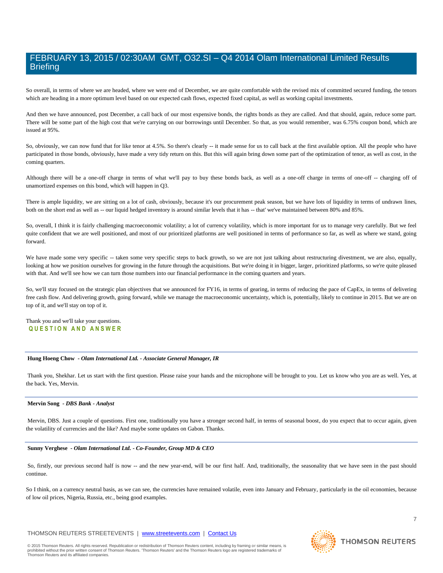So overall, in terms of where we are headed, where we were end of December, we are quite comfortable with the revised mix of committed secured funding, the tenors which are heading in a more optimum level based on our expected cash flows, expected fixed capital, as well as working capital investments.

And then we have announced, post December, a call back of our most expensive bonds, the rights bonds as they are called. And that should, again, reduce some part. There will be some part of the high cost that we're carrying on our borrowings until December. So that, as you would remember, was 6.75% coupon bond, which are issued at 95%.

So, obviously, we can now fund that for like tenor at 4.5%. So there's clearly -- it made sense for us to call back at the first available option. All the people who have participated in those bonds, obviously, have made a very tidy return on this. But this will again bring down some part of the optimization of tenor, as well as cost, in the coming quarters.

Although there will be a one-off charge in terms of what we'll pay to buy these bonds back, as well as a one-off charge in terms of one-off -- charging off of unamortized expenses on this bond, which will happen in Q3.

There is ample liquidity, we are sitting on a lot of cash, obviously, because it's our procurement peak season, but we have lots of liquidity in terms of undrawn lines, both on the short end as well as -- our liquid hedged inventory is around similar levels that it has -- that' we've maintained between 80% and 85%.

So, overall, I think it is fairly challenging macroeconomic volatility; a lot of currency volatility, which is more important for us to manage very carefully. But we feel quite confident that we are well positioned, and most of our prioritized platforms are well positioned in terms of performance so far, as well as where we stand, going forward.

We have made some very specific -- taken some very specific steps to back growth, so we are not just talking about restructuring divestment, we are also, equally, looking at how we position ourselves for growing in the future through the acquisitions. But we're doing it in bigger, larger, prioritized platforms, so we're quite pleased with that. And we'll see how we can turn those numbers into our financial performance in the coming quarters and years.

So, we'll stay focused on the strategic plan objectives that we announced for FY16, in terms of gearing, in terms of reducing the pace of CapEx, in terms of delivering free cash flow. And delivering growth, going forward, while we manage the macroeconomic uncertainty, which is, potentially, likely to continue in 2015. But we are on top of it, and we'll stay on top of it.

#### Thank you and we'll take your questions. **Q U E S T I O N A N D A N S W E R**

#### **Hung Hoeng Chow** *- Olam International Ltd. - Associate General Manager, IR*

Thank you, Shekhar. Let us start with the first question. Please raise your hands and the microphone will be brought to you. Let us know who you are as well. Yes, at the back. Yes, Mervin.

#### **Mervin Song** *- DBS Bank - Analyst*

Mervin, DBS. Just a couple of questions. First one, traditionally you have a stronger second half, in terms of seasonal boost, do you expect that to occur again, given the volatility of currencies and the like? And maybe some updates on Gabon. Thanks.

#### **Sunny Verghese** *- Olam International Ltd. - Co-Founder, Group MD & CEO*

So, firstly, our previous second half is now -- and the new year-end, will be our first half. And, traditionally, the seasonality that we have seen in the past should continue.

So I think, on a currency neutral basis, as we can see, the currencies have remained volatile, even into January and February, particularly in the oil economies, because of low oil prices, Nigeria, Russia, etc., being good examples.

#### THOMSON REUTERS STREETEVENTS | [www.streetevents.com](http://www.streetevents.com/) | [Contact Us](http://www010.streetevents.com/contact.asp)

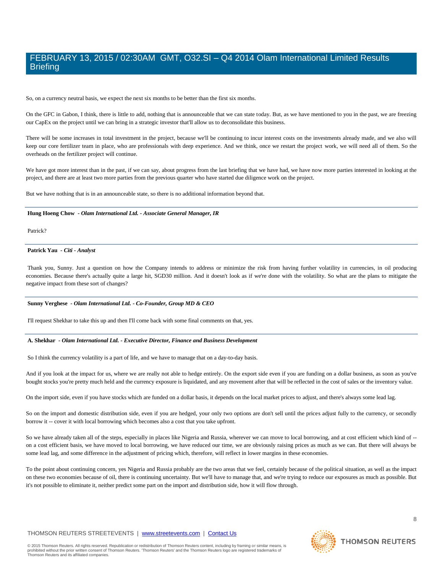So, on a currency neutral basis, we expect the next six months to be better than the first six months.

On the GFC in Gabon, I think, there is little to add, nothing that is announceable that we can state today. But, as we have mentioned to you in the past, we are freezing our CapEx on the project until we can bring in a strategic investor that'll allow us to deconsolidate this business.

There will be some increases in total investment in the project, because we'll be continuing to incur interest costs on the investments already made, and we also will keep our core fertilizer team in place, who are professionals with deep experience. And we think, once we restart the project work, we will need all of them. So the overheads on the fertilizer project will continue.

We have got more interest than in the past, if we can say, about progress from the last briefing that we have had, we have now more parties interested in looking at the project, and there are at least two more parties from the previous quarter who have started due diligence work on the project.

But we have nothing that is in an announceable state, so there is no additional information beyond that.

#### **Hung Hoeng Chow** *- Olam International Ltd. - Associate General Manager, IR*

Patrick?

#### **Patrick Yau** *- Citi - Analyst*

Thank you, Sunny. Just a question on how the Company intends to address or minimize the risk from having further volatility in currencies, in oil producing economies. Because there's actually quite a large hit, SGD30 million. And it doesn't look as if we're done with the volatility. So what are the plans to mitigate the negative impact from these sort of changes?

#### **Sunny Verghese** *- Olam International Ltd. - Co-Founder, Group MD & CEO*

I'll request Shekhar to take this up and then I'll come back with some final comments on that, yes.

#### **A. Shekhar** *- Olam International Ltd. - Executive Director, Finance and Business Development*

So I think the currency volatility is a part of life, and we have to manage that on a day-to-day basis.

And if you look at the impact for us, where we are really not able to hedge entirely. On the export side even if you are funding on a dollar business, as soon as you've bought stocks you're pretty much held and the currency exposure is liquidated, and any movement after that will be reflected in the cost of sales or the inventory value.

On the import side, even if you have stocks which are funded on a dollar basis, it depends on the local market prices to adjust, and there's always some lead lag.

So on the import and domestic distribution side, even if you are hedged, your only two options are don't sell until the prices adjust fully to the currency, or secondly borrow it -- cover it with local borrowing which becomes also a cost that you take upfront.

So we have already taken all of the steps, especially in places like Nigeria and Russia, wherever we can move to local borrowing, and at cost efficient which kind of -on a cost efficient basis, we have moved to local borrowing, we have reduced our time, we are obviously raising prices as much as we can. But there will always be some lead lag, and some difference in the adjustment of pricing which, therefore, will reflect in lower margins in these economies.

To the point about continuing concern, yes Nigeria and Russia probably are the two areas that we feel, certainly because of the political situation, as well as the impact on these two economies because of oil, there is continuing uncertainty. But we'll have to manage that, and we're trying to reduce our exposures as much as possible. But it's not possible to eliminate it, neither predict some part on the import and distribution side, how it will flow through.

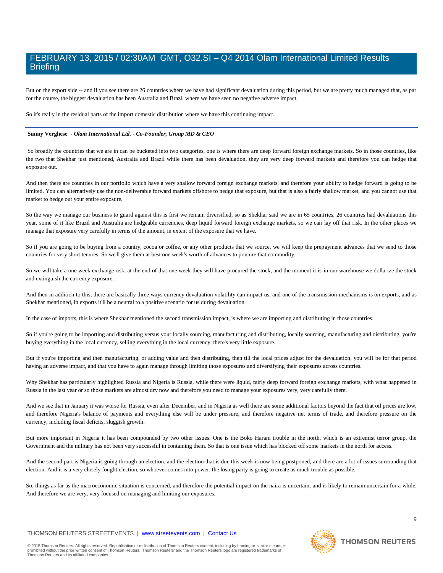But on the export side -- and if you see there are 26 countries where we have had significant devaluation during this period, but we are pretty much managed that, as par for the course, the biggest devaluation has been Australia and Brazil where we have seen no negative adverse impact.

So it's really in the residual parts of the import domestic distribution where we have this continuing impact.

#### **Sunny Verghese** *- Olam International Ltd. - Co-Founder, Group MD & CEO*

So broadly the countries that we are in can be bucketed into two categories, one is where there are deep forward foreign exchange markets. So in those countries, like the two that Shekhar just mentioned, Australia and Brazil while there has been devaluation, they are very deep forward markets and therefore you can hedge that exposure out.

And then there are countries in our portfolio which have a very shallow forward foreign exchange markets, and therefore your ability to hedge forward is going to be limited. You can alternatively use the non-deliverable forward markets offshore to hedge that exposure, but that is also a fairly shallow market, and you cannot use that market to hedge out your entire exposure.

So the way we manage our business to guard against this is first we remain diversified, so as Shekhar said we are in 65 countries, 26 countries had devaluations this year, some of it like Brazil and Australia are hedgeable currencies, deep liquid forward foreign exchange markets, so we can lay off that risk. In the other places we manage that exposure very carefully in terms of the amount, in extent of the exposure that we have.

So if you are going to be buying from a country, cocoa or coffee, or any other products that we source, we will keep the prepayment advances that we send to those countries for very short tenures. So we'll give them at best one week's worth of advances to procure that commodity.

So we will take a one week exchange risk, at the end of that one week they will have procured the stock, and the moment it is in our warehouse we dollarize the stock and extinguish the currency exposure.

And then in addition to this, there are basically three ways currency devaluation volatility can impact us, and one of the transmission mechanisms is on exports, and as Shekhar mentioned, in exports it'll be a neutral to a positive scenario for us during devaluation.

In the case of imports, this is where Shekhar mentioned the second transmission impact, is where we are importing and distributing in those countries.

So if you're going to be importing and distributing versus your locally sourcing, manufacturing and distributing, locally sourcing, manufacturing and distributing, you're buying everything in the local currency, selling everything in the local currency, there's very little exposure.

But if you're importing and then manufacturing, or adding value and then distributing, then till the local prices adjust for the devaluation, you will be for that period having an adverse impact, and that you have to again manage through limiting those exposures and diversifying their exposures across countries.

Why Shekhar has particularly highlighted Russia and Nigeria is Russia, while there were liquid, fairly deep forward foreign exchange markets, with what happened in Russia in the last year or so those markets are almost dry now and therefore you need to manage your exposures very, very carefully there.

And we see that in January it was worse for Russia, even after December, and in Nigeria as well there are some additional factors beyond the fact that oil prices are low, and therefore Nigeria's balance of payments and everything else will be under pressure, and therefore negative net terms of trade, and therefore pressure on the currency, including fiscal deficits, sluggish growth.

But more important in Nigeria it has been compounded by two other issues. One is the Boko Haram trouble in the north, which is an extremist terror group, the Government and the military has not been very successful in containing them. So that is one issue which has blocked off some markets in the north for access.

And the second part is Nigeria is going through an election, and the election that is due this week is now being postponed, and there are a lot of issues surrounding that election. And it is a very closely fought election, so whoever comes into power, the losing party is going to create as much trouble as possible.

So, things as far as the macroeconomic situation is concerned, and therefore the potential impact on the naira is uncertain, and is likely to remain uncertain for a while. And therefore we are very, very focused on managing and limiting our exposures.

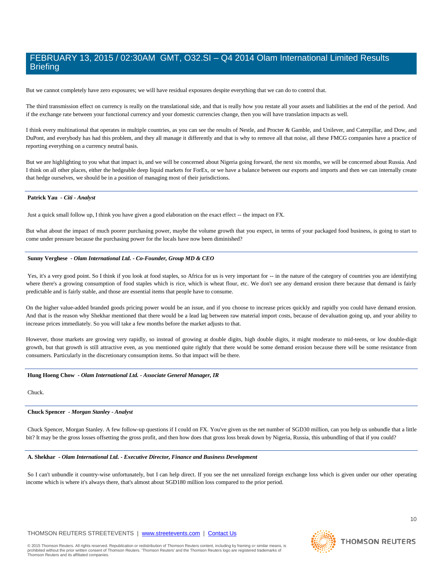But we cannot completely have zero exposures; we will have residual exposures despite everything that we can do to control that.

The third transmission effect on currency is really on the translational side, and that is really how you restate all your assets and liabilities at the end of the period. And if the exchange rate between your functional currency and your domestic currencies change, then you will have translation impacts as well.

I think every multinational that operates in multiple countries, as you can see the results of Nestle, and Procter & Gamble, and Unilever, and Caterpillar, and Dow, and DuPont, and everybody has had this problem, and they all manage it differently and that is why to remove all that noise, all these FMCG companies have a practice of reporting everything on a currency neutral basis.

But we are highlighting to you what that impact is, and we will be concerned about Nigeria going forward, the next six months, we will be concerned about Russia. And I think on all other places, either the hedgeable deep liquid markets for ForEx, or we have a balance between our exports and imports and then we can internally create that hedge ourselves, we should be in a position of managing most of their jurisdictions.

#### **Patrick Yau** *- Citi - Analyst*

Just a quick small follow up, I think you have given a good elaboration on the exact effect -- the impact on FX.

But what about the impact of much poorer purchasing power, maybe the volume growth that you expect, in terms of your packaged food business, is going to start to come under pressure because the purchasing power for the locals have now been diminished?

#### **Sunny Verghese** *- Olam International Ltd. - Co-Founder, Group MD & CEO*

Yes, it's a very good point. So I think if you look at food staples, so Africa for us is very important for -- in the nature of the category of countries you are identifying where there's a growing consumption of food staples which is rice, which is wheat flour, etc. We don't see any demand erosion there because that demand is fairly predictable and is fairly stable, and those are essential items that people have to consume.

On the higher value-added branded goods pricing power would be an issue, and if you choose to increase prices quickly and rapidly you could have demand erosion. And that is the reason why Shekhar mentioned that there would be a lead lag between raw material import costs, because of devaluation going up, and your ability to increase prices immediately. So you will take a few months before the market adjusts to that.

However, those markets are growing very rapidly, so instead of growing at double digits, high double digits, it might moderate to mid-teens, or low double-digit growth, but that growth is still attractive even, as you mentioned quite rightly that there would be some demand erosion because there will be some resistance from consumers. Particularly in the discretionary consumption items. So that impact will be there.

#### **Hung Hoeng Chow** *- Olam International Ltd. - Associate General Manager, IR*

Chuck.

#### **Chuck Spencer** *- Morgan Stanley - Analyst*

Chuck Spencer, Morgan Stanley. A few follow-up questions if I could on FX. You've given us the net number of SGD30 million, can you help us unbundle that a little bit? It may be the gross losses offsetting the gross profit, and then how does that gross loss break down by Nigeria, Russia, this unbundling of that if you could?

#### **A. Shekhar** *- Olam International Ltd. - Executive Director, Finance and Business Development*

So I can't unbundle it country-wise unfortunately, but I can help direct. If you see the net unrealized foreign exchange loss which is given under our other operating income which is where it's always there, that's almost about SGD180 million loss compared to the prior period.

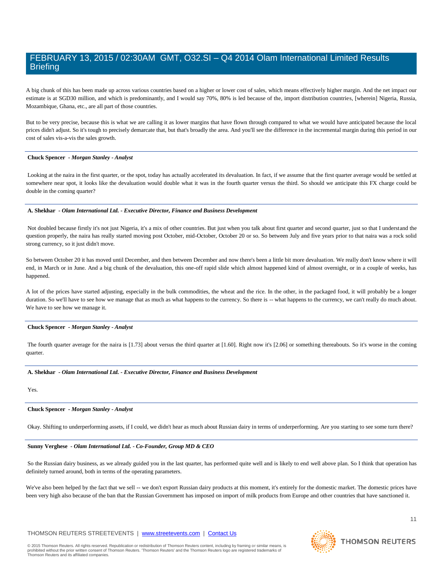A big chunk of this has been made up across various countries based on a higher or lower cost of sales, which means effectively higher margin. And the net impact our estimate is at SGD30 million, and which is predominantly, and I would say 70%, 80% is led because of the, import distribution countries, [wherein] Nigeria, Russia, Mozambique, Ghana, etc., are all part of those countries.

But to be very precise, because this is what we are calling it as lower margins that have flown through compared to what we would have anticipated because the local prices didn't adjust. So it's tough to precisely demarcate that, but that's broadly the area. And you'll see the difference in the incremental margin during this period in our cost of sales vis-a-vis the sales growth.

#### **Chuck Spencer** *- Morgan Stanley - Analyst*

Looking at the naira in the first quarter, or the spot, today has actually accelerated its devaluation. In fact, if we assume that the first quarter average would be settled at somewhere near spot, it looks like the devaluation would double what it was in the fourth quarter versus the third. So should we anticipate this FX charge could be double in the coming quarter?

#### **A. Shekhar** *- Olam International Ltd. - Executive Director, Finance and Business Development*

Not doubled because firstly it's not just Nigeria, it's a mix of other countries. But just when you talk about first quarter and second quarter, just so that I understand the question properly, the naira has really started moving post October, mid-October, October 20 or so. So between July and five years prior to that naira was a rock solid strong currency, so it just didn't move.

So between October 20 it has moved until December, and then between December and now there's been a little bit more devaluation. We really don't know where it will end, in March or in June. And a big chunk of the devaluation, this one-off rapid slide which almost happened kind of almost overnight, or in a couple of weeks, has happened.

A lot of the prices have started adjusting, especially in the bulk commodities, the wheat and the rice. In the other, in the packaged food, it will probably be a longer duration. So we'll have to see how we manage that as much as what happens to the currency. So there is -- what happens to the currency, we can't really do much about. We have to see how we manage it.

#### **Chuck Spencer** *- Morgan Stanley - Analyst*

The fourth quarter average for the naira is [1.73] about versus the third quarter at [1.60]. Right now it's [2.06] or something thereabouts. So it's worse in the coming quarter.

#### **A. Shekhar** *- Olam International Ltd. - Executive Director, Finance and Business Development*

Yes.

#### **Chuck Spencer** *- Morgan Stanley - Analyst*

Okay. Shifting to underperforming assets, if I could, we didn't hear as much about Russian dairy in terms of underperforming. Are you starting to see some turn there?

#### **Sunny Verghese** *- Olam International Ltd. - Co-Founder, Group MD & CEO*

So the Russian dairy business, as we already guided you in the last quarter, has performed quite well and is likely to end well above plan. So I think that operation has definitely turned around, both in terms of the operating parameters.

We've also been helped by the fact that we sell -- we don't export Russian dairy products at this moment, it's entirely for the domestic market. The domestic prices have been very high also because of the ban that the Russian Government has imposed on import of milk products from Europe and other countries that have sanctioned it.

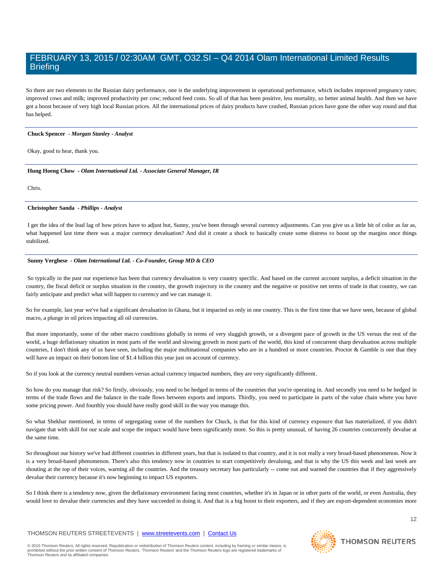So there are two elements to the Russian dairy performance, one is the underlying improvement in operational performance, which includes improved pregnancy rates; improved cows and milk; improved productivity per cow; reduced feed costs. So all of that has been positive, less mortality, so better animal health. And then we have got a boost because of very high local Russian prices. All the international prices of dairy products have crashed, Russian prices have gone the other way round and that has helped.

#### **Chuck Spencer** *- Morgan Stanley - Analyst*

Okay, good to hear, thank you.

**Hung Hoeng Chow** *- Olam International Ltd. - Associate General Manager, IR* 

Chris.

#### **Christopher Sanda** *- Phillips - Analyst*

I get the idea of the lead lag of how prices have to adjust but, Sunny, you've been through several currency adjustments. Can you give us a little bit of color as far as, what happened last time there was a major currency devaluation? And did it create a shock to basically create some distress to boost up the margins once things stabilized.

#### **Sunny Verghese** *- Olam International Ltd. - Co-Founder, Group MD & CEO*

So typically in the past our experience has been that currency devaluation is very country specific. And based on the current account surplus, a deficit situation in the country, the fiscal deficit or surplus situation in the country, the growth trajectory in the country and the negative or positive net terms of trade in that country, we can fairly anticipate and predict what will happen to currency and we can manage it.

So for example, last year we've had a significant devaluation in Ghana, but it impacted us only in one country. This is the first time that we have seen, because of global macro, a plunge in oil prices impacting all oil currencies.

But more importantly, some of the other macro conditions globally in terms of very sluggish growth, or a divergent pace of growth in the US versus the rest of the world, a huge deflationary situation in most parts of the world and slowing growth in most parts of the world, this kind of concurrent sharp devaluation across multiple countries, I don't think any of us have seen, including the major multinational companies who are in a hundred or more countries. Proctor & Gamble is one that they will have an impact on their bottom line of \$1.4 billion this year just on account of currency.

So if you look at the currency neutral numbers versus actual currency impacted numbers, they are very significantly different.

So how do you manage that risk? So firstly, obviously, you need to be hedged in terms of the countries that you're operating in. And secondly you need to be hedged in terms of the trade flows and the balance in the trade flows between exports and imports. Thirdly, you need to participate in parts of the value chain where you have some pricing power. And fourthly you should have really good skill in the way you manage this.

So what Shekhar mentioned, in terms of segregating some of the numbers for Chuck, is that for this kind of currency exposure that has materialized, if you didn't navigate that with skill for our scale and scope the impact would have been significantly more. So this is pretty unusual, of having 26 countries concurrently devalue at the same time.

So throughout our history we've had different countries in different years, but that is isolated to that country, and it is not really a very broad-based phenomenon. Now it is a very broad-based phenomenon. There's also this tendency now in countries to start competitively devaluing, and that is why the US this week and last week are shouting at the top of their voices, warning all the countries. And the treasury secretary has particularly -- come out and warned the countries that if they aggressively devalue their currency because it's now beginning to impact US exporters.

So I think there is a tendency now, given the deflationary environment facing most countries, whether it's in Japan or in other parts of the world, or even Australia, they would love to devalue their currencies and they have succeeded in doing it. And that is a big boost to their exporters, and if they are export-dependent economies more

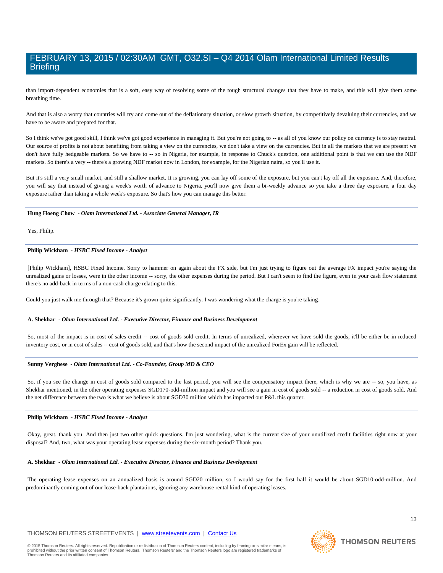than import-dependent economies that is a soft, easy way of resolving some of the tough structural changes that they have to make, and this will give them some breathing time.

And that is also a worry that countries will try and come out of the deflationary situation, or slow growth situation, by competitively devaluing their currencies, and we have to be aware and prepared for that.

So I think we've got good skill, I think we've got good experience in managing it. But you're not going to -- as all of you know our policy on currency is to stay neutral. Our source of profits is not about benefiting from taking a view on the currencies, we don't take a view on the currencies. But in all the markets that we are present we don't have fully hedgeable markets. So we have to -- so in Nigeria, for example, in response to Chuck's question, one additional point is that we can use the NDF markets. So there's a very -- there's a growing NDF market now in London, for example, for the Nigerian naira, so you'll use it.

But it's still a very small market, and still a shallow market. It is growing, you can lay off some of the exposure, but you can't lay off all the exposure. And, therefore, you will say that instead of giving a week's worth of advance to Nigeria, you'll now give them a bi-weekly advance so you take a three day exposure, a four day exposure rather than taking a whole week's exposure. So that's how you can manage this better.

#### **Hung Hoeng Chow** *- Olam International Ltd. - Associate General Manager, IR*

Yes, Philip.

#### **Philip Wickham** *- HSBC Fixed Income - Analyst*

[Philip Wickham], HSBC Fixed Income. Sorry to hammer on again about the FX side, but I'm just trying to figure out the average FX impact you're saying the unrealized gains or losses, were in the other income -- sorry, the other expenses during the period. But I can't seem to find the figure, even in your cash flow statement there's no add-back in terms of a non-cash charge relating to this.

Could you just walk me through that? Because it's grown quite significantly. I was wondering what the charge is you're taking.

#### **A. Shekhar** *- Olam International Ltd. - Executive Director, Finance and Business Development*

So, most of the impact is in cost of sales credit -- cost of goods sold credit. In terms of unrealized, wherever we have sold the goods, it'll be either be in reduced inventory cost, or in cost of sales -- cost of goods sold, and that's how the second impact of the unrealized ForEx gain will be reflected.

#### **Sunny Verghese** *- Olam International Ltd. - Co-Founder, Group MD & CEO*

So, if you see the change in cost of goods sold compared to the last period, you will see the compensatory impact there, which is why we are -- so, you have, as Shekhar mentioned, in the other operating expenses SGD170-odd-million impact and you will see a gain in cost of goods sold -- a reduction in cost of goods sold. And the net difference between the two is what we believe is about SGD30 million which has impacted our P&L this quarter.

#### **Philip Wickham** *- HSBC Fixed Income - Analyst*

Okay, great, thank you. And then just two other quick questions. I'm just wondering, what is the current size of your unutilized credit facilities right now at your disposal? And, two, what was your operating lease expenses during the six-month period? Thank you.

#### **A. Shekhar** *- Olam International Ltd. - Executive Director, Finance and Business Development*

The operating lease expenses on an annualized basis is around SGD20 million, so I would say for the first half it would be about SGD10-odd-million. And predominantly coming out of our lease-back plantations, ignoring any warehouse rental kind of operating leases.

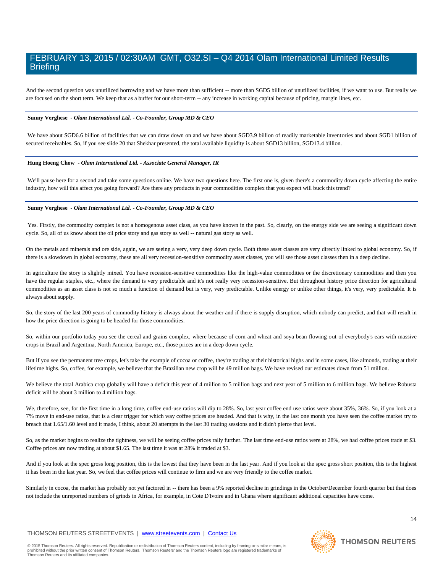And the second question was unutilized borrowing and we have more than sufficient -- more than SGD5 billion of unutilized facilities, if we want to use. But really we are focused on the short term. We keep that as a buffer for our short-term -- any increase in working capital because of pricing, margin lines, etc.

#### **Sunny Verghese** *- Olam International Ltd. - Co-Founder, Group MD & CEO*

We have about SGD6.6 billion of facilities that we can draw down on and we have about SGD3.9 billion of readily marketable inventories and about SGD1 billion of secured receivables. So, if you see slide 20 that Shekhar presented, the total available liquidity is about SGD13 billion, SGD13.4 billion.

#### **Hung Hoeng Chow** *- Olam International Ltd. - Associate General Manager, IR*

We'll pause here for a second and take some questions online. We have two questions here. The first one is, given there's a commodity down cycle affecting the entire industry, how will this affect you going forward? Are there any products in your commodities complex that you expect will buck this trend?

#### **Sunny Verghese** *- Olam International Ltd. - Co-Founder, Group MD & CEO*

Yes. Firstly, the commodity complex is not a homogenous asset class, as you have known in the past. So, clearly, on the energy side we are seeing a significant down cycle. So, all of us know about the oil price story and gas story as well -- natural gas story as well.

On the metals and minerals and ore side, again, we are seeing a very, very deep down cycle. Both these asset classes are very directly linked to global economy. So, if there is a slowdown in global economy, these are all very recession-sensitive commodity asset classes, you will see those asset classes then in a deep decline.

In agriculture the story is slightly mixed. You have recession-sensitive commodities like the high-value commodities or the discretionary commodities and then you have the regular staples, etc., where the demand is very predictable and it's not really very recession-sensitive. But throughout history price direction for agricultural commodities as an asset class is not so much a function of demand but is very, very predictable. Unlike energy or unlike other things, it's very, very predictable. It is always about supply.

So, the story of the last 200 years of commodity history is always about the weather and if there is supply disruption, which nobody can predict, and that will result in how the price direction is going to be headed for those commodities.

So, within our portfolio today you see the cereal and grains complex, where because of corn and wheat and soya bean flowing out of everybody's ears with massive crops in Brazil and Argentina, North America, Europe, etc., those prices are in a deep down cycle.

But if you see the permanent tree crops, let's take the example of cocoa or coffee, they're trading at their historical highs and in some cases, like almonds, trading at their lifetime highs. So, coffee, for example, we believe that the Brazilian new crop will be 49 million bags. We have revised our estimates down from 51 million.

We believe the total Arabica crop globally will have a deficit this year of 4 million to 5 million bags and next year of 5 million to 6 million bags. We believe Robusta deficit will be about 3 million to 4 million bags.

We, therefore, see, for the first time in a long time, coffee end-use ratios will dip to 28%. So, last year coffee end use ratios were about 35%, 36%. So, if you look at a 7% move in end-use ratios, that is a clear trigger for which way coffee prices are headed. And that is why, in the last one month you have seen the coffee market try to breach that 1.65/1.60 level and it made, I think, about 20 attempts in the last 30 trading sessions and it didn't pierce that level.

So, as the market begins to realize the tightness, we will be seeing coffee prices rally further. The last time end-use ratios were at 28%, we had coffee prices trade at \$3. Coffee prices are now trading at about \$1.65. The last time it was at 28% it traded at \$3.

And if you look at the spec gross long position, this is the lowest that they have been in the last year. And if you look at the spec gross short position, this is the highest it has been in the last year. So, we feel that coffee prices will continue to firm and we are very friendly to the coffee market.

Similarly in cocoa, the market has probably not yet factored in -- there has been a 9% reported decline in grindings in the October/December fourth quarter but that does not include the unreported numbers of grinds in Africa, for example, in Cote D'Ivoire and in Ghana where significant additional capacities have come.

#### THOMSON REUTERS STREETEVENTS | [www.streetevents.com](http://www.streetevents.com/) | [Contact Us](http://www010.streetevents.com/contact.asp)

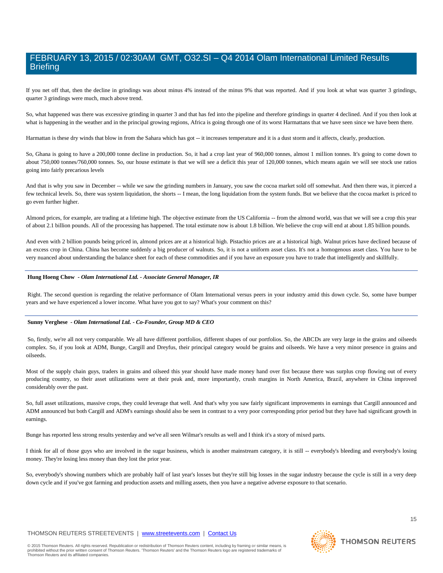If you net off that, then the decline in grindings was about minus 4% instead of the minus 9% that was reported. And if you look at what was quarter 3 grindings, quarter 3 grindings were much, much above trend.

So, what happened was there was excessive grinding in quarter 3 and that has fed into the pipeline and therefore grindings in quarter 4 declined. And if you then look at what is happening in the weather and in the principal growing regions, Africa is going through one of its worst Harmattans that we have seen since we have been there.

Harmattan is these dry winds that blow in from the Sahara which has got -- it increases temperature and it is a dust storm and it affects, clearly, production.

So, Ghana is going to have a 200,000 tonne decline in production. So, it had a crop last year of 960,000 tonnes, almost 1 million tonnes. It's going to come down to about 750,000 tonnes/760,000 tonnes. So, our house estimate is that we will see a deficit this year of 120,000 tonnes, which means again we will see stock use ratios going into fairly precarious levels

And that is why you saw in December -- while we saw the grinding numbers in January, you saw the cocoa market sold off somewhat. And then there was, it pierced a few technical levels. So, there was system liquidation, the shorts -- I mean, the long liquidation from the system funds. But we believe that the cocoa market is priced to go even further higher.

Almond prices, for example, are trading at a lifetime high. The objective estimate from the US California -- from the almond world, was that we will see a crop this year of about 2.1 billion pounds. All of the processing has happened. The total estimate now is about 1.8 billion. We believe the crop will end at about 1.85 billion pounds.

And even with 2 billion pounds being priced in, almond prices are at a historical high. Pistachio prices are at a historical high. Walnut prices have declined because of an excess crop in China. China has become suddenly a big producer of walnuts. So, it is not a uniform asset class. It's not a homogenous asset class. You have to be very nuanced about understanding the balance sheet for each of these commodities and if you have an exposure you have to trade that intelligently and skillfully.

#### **Hung Hoeng Chow** *- Olam International Ltd. - Associate General Manager, IR*

Right. The second question is regarding the relative performance of Olam International versus peers in your industry amid this down cycle. So, some have bumper years and we have experienced a lower income. What have you got to say? What's your comment on this?

#### **Sunny Verghese** *- Olam International Ltd. - Co-Founder, Group MD & CEO*

So, firstly, we're all not very comparable. We all have different portfolios, different shapes of our portfolios. So, the ABCDs are very large in the grains and oilseeds complex. So, if you look at ADM, Bunge, Cargill and Dreyfus, their principal category would be grains and oilseeds. We have a very minor presence in grains and oilseeds.

Most of the supply chain guys, traders in grains and oilseed this year should have made money hand over fist because there was surplus crop flowing out of every producing country, so their asset utilizations were at their peak and, more importantly, crush margins in North America, Brazil, anywhere in China improved considerably over the past.

So, full asset utilizations, massive crops, they could leverage that well. And that's why you saw fairly significant improvements in earnings that Cargill announced and ADM announced but both Cargill and ADM's earnings should also be seen in contrast to a very poor corresponding prior period but they have had significant growth in earnings.

Bunge has reported less strong results yesterday and we've all seen Wilmar's results as well and I think it's a story of mixed parts.

I think for all of those guys who are involved in the sugar business, which is another mainstream category, it is still -- everybody's bleeding and everybody's losing money. They're losing less money than they lost the prior year.

So, everybody's showing numbers which are probably half of last year's losses but they're still big losses in the sugar industry because the cycle is still in a very deep down cycle and if you've got farming and production assets and milling assets, then you have a negative adverse exposure to that scenario.

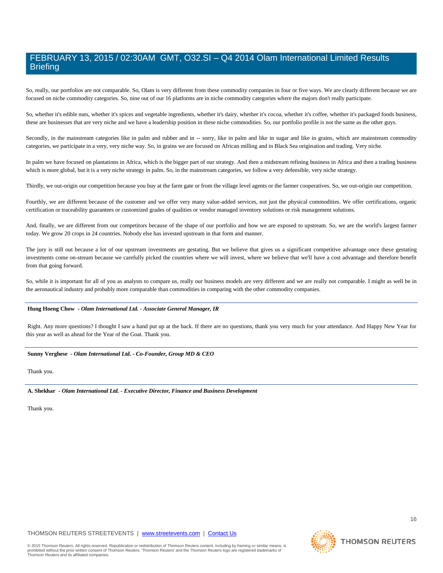So, really, our portfolios are not comparable. So, Olam is very different from these commodity companies in four or five ways. We are clearly different because we are focused on niche commodity categories. So, nine out of our 16 platforms are in niche commodity categories where the majors don't really participate.

So, whether it's edible nuts, whether it's spices and vegetable ingredients, whether it's dairy, whether it's cocoa, whether it's coffee, whether it's packaged foods business, these are businesses that are very niche and we have a leadership position in these niche commodities. So, our portfolio profile is not the same as the other guys.

Secondly, in the mainstream categories like in palm and rubber and in -- sorry, like in palm and like in sugar and like in grains, which are mainstream commodity categories, we participate in a very, very niche way. So, in grains we are focused on African milling and in Black Sea origination and trading. Very niche.

In palm we have focused on plantations in Africa, which is the bigger part of our strategy. And then a midstream refining business in Africa and then a trading business which is more global, but it is a very niche strategy in palm. So, in the mainstream categories, we follow a very defensible, very niche strategy.

Thirdly, we out-origin our competition because you buy at the farm gate or from the village level agents or the farmer cooperatives. So, we out-origin our competition.

Fourthly, we are different because of the customer and we offer very many value-added services, not just the physical commodities. We offer certifications, organic certification or traceability guarantees or customized grades of qualities or vendor managed inventory solutions or risk management solutions.

And, finally, we are different from our competitors because of the shape of our portfolio and how we are exposed to upstream. So, we are the world's largest farmer today. We grow 20 crops in 24 countries. Nobody else has invested upstream in that form and manner.

The jury is still out because a lot of our upstream investments are gestating. But we believe that gives us a significant competitive advantage once these gestating investments come on-stream because we carefully picked the countries where we will invest, where we believe that we'll have a cost advantage and therefore benefit from that going forward.

So, while it is important for all of you as analysts to compare us, really our business models are very different and we are really not comparable. I might as well be in the aeronautical industry and probably more comparable than commodities in comparing with the other commodity companies.

#### **Hung Hoeng Chow** *- Olam International Ltd. - Associate General Manager, IR*

Right. Any more questions? I thought I saw a hand put up at the back. If there are no questions, thank you very much for your attendance. And Happy New Year for this year as well as ahead for the Year of the Goat. Thank you.

#### **Sunny Verghese** *- Olam International Ltd. - Co-Founder, Group MD & CEO*

Thank you.

**A. Shekhar** *- Olam International Ltd. - Executive Director, Finance and Business Development* 

Thank you.